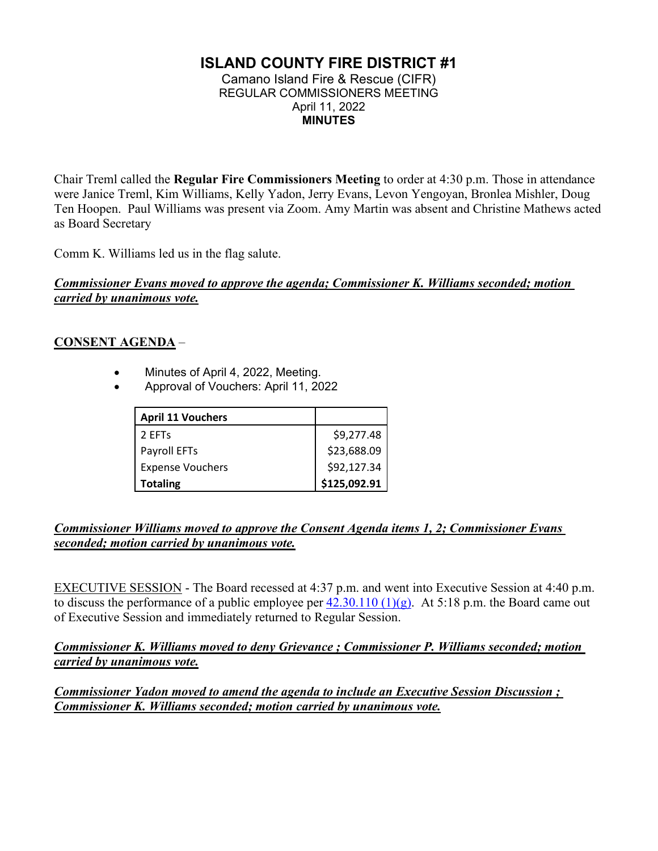## **ISLAND COUNTY FIRE DISTRICT #1**

Camano Island Fire & Rescue (CIFR) REGULAR COMMISSIONERS MEETING April 11, 2022 **MINUTES** 

Chair Treml called the **Regular Fire Commissioners Meeting** to order at 4:30 p.m. Those in attendance were Janice Treml, Kim Williams, Kelly Yadon, Jerry Evans, Levon Yengoyan, Bronlea Mishler, Doug Ten Hoopen. Paul Williams was present via Zoom. Amy Martin was absent and Christine Mathews acted as Board Secretary

Comm K. Williams led us in the flag salute.

#### *Commissioner Evans moved to approve the agenda; Commissioner K. Williams seconded; motion carried by unanimous vote.*

#### **CONSENT AGENDA** –

- Minutes of April 4, 2022, Meeting.
- Approval of Vouchers: April 11, 2022

| <b>April 11 Vouchers</b> |              |
|--------------------------|--------------|
| 2 EFTs                   | \$9,277.48   |
| Payroll EFTs             | \$23,688.09  |
| <b>Expense Vouchers</b>  | \$92,127.34  |
| <b>Totaling</b>          | \$125,092.91 |

#### *Commissioner Williams moved to approve the Consent Agenda items 1, 2; Commissioner Evans seconded; motion carried by unanimous vote.*

EXECUTIVE SESSION - The Board recessed at 4:37 p.m. and went into Executive Session at 4:40 p.m. to discuss the performance of a public employee per  $42.30.110(1)(g)$ . At 5:18 p.m. the Board came out of Executive Session and immediately returned to Regular Session.

*Commissioner K. Williams moved to deny Grievance ; Commissioner P. Williams seconded; motion carried by unanimous vote.*

*Commissioner Yadon moved to amend the agenda to include an Executive Session Discussion ; Commissioner K. Williams seconded; motion carried by unanimous vote.*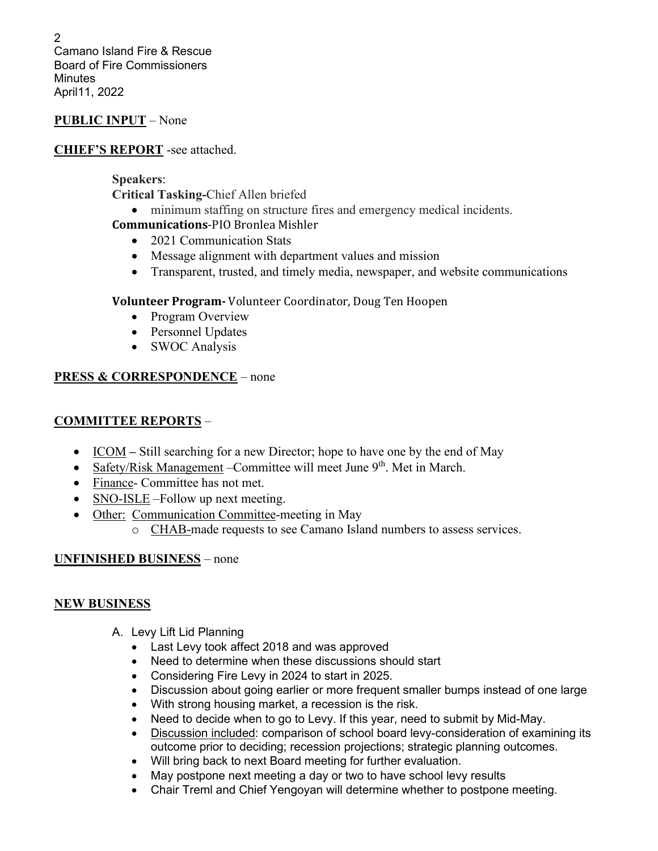2 Camano Island Fire & Rescue Board of Fire Commissioners **Minutes** April11, 2022

#### **PUBLIC INPUT** – None

#### **CHIEF'S REPORT** -see attached.

#### **Speakers**:

**Critical Tasking-**Chief Allen briefed

- minimum staffing on structure fires and emergency medical incidents.
- **Communications**-PIO Bronlea Mishler
	- 2021 Communication Stats
	- Message alignment with department values and mission
	- Transparent, trusted, and timely media, newspaper, and website communications

#### **Volunteer Program-** Volunteer Coordinator, Doug Ten Hoopen

- Program Overview
- Personnel Updates
- SWOC Analysis

### **PRESS & CORRESPONDENCE** – none

## **COMMITTEE REPORTS** –

- ICOM Still searching for a new Director; hope to have one by the end of May
- Safety/Risk Management Committee will meet June  $9<sup>th</sup>$ . Met in March.
- Finance- Committee has not met.
- SNO-ISLE –Follow up next meeting.
- Other: Communication Committee-meeting in May
	- o CHAB-made requests to see Camano Island numbers to assess services.

## **UNFINISHED BUSINESS** – none

#### **NEW BUSINESS**

- A. Levy Lift Lid Planning
	- Last Levy took affect 2018 and was approved
	- Need to determine when these discussions should start
	- Considering Fire Levy in 2024 to start in 2025.
	- Discussion about going earlier or more frequent smaller bumps instead of one large
	- With strong housing market, a recession is the risk.
	- Need to decide when to go to Levy. If this year, need to submit by Mid-May.
	- Discussion included: comparison of school board levy-consideration of examining its outcome prior to deciding; recession projections; strategic planning outcomes.
	- Will bring back to next Board meeting for further evaluation.
	- May postpone next meeting a day or two to have school levy results
	- Chair Treml and Chief Yengoyan will determine whether to postpone meeting.